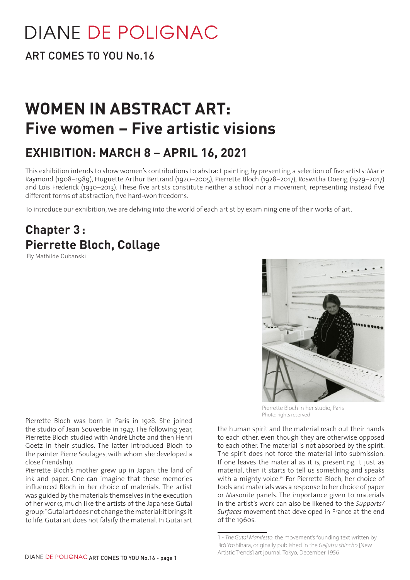## **DIANE DE POLIGNAC**

ART COMES TO YOU No.16

## **WOMEN IN ABSTRACT ART: Five women – Five artistic visions**

## **EXHIBITION: MARCH 8 – APRIL 16, 2021**

This exhibition intends to show women's contributions to abstract painting by presenting a selection of five artists: Marie Raymond (1908–1989), Huguette Arthur Bertrand (1920–2005), Pierrette Bloch (1928–2017), Roswitha Doerig (1929–2017) and Loïs Frederick (1930–2013). These five artists constitute neither a school nor a movement, representing instead five different forms of abstraction, five hard-won freedoms.

To introduce our exhibition, we are delving into the world of each artist by examining one of their works of art.

## **Chapter 3: Pierrette Bloch, Collage**

By Mathilde Gubanski



Pierrette Bloch in her studio, Paris Photo: rights reserved

the human spirit and the material reach out their hands to each other, even though they are otherwise opposed to each other. The material is not absorbed by the spirit. The spirit does not force the material into submission. If one leaves the material as it is, presenting it just as material, then it starts to tell us something and speaks with a mighty voice.<sup>1"</sup> For Pierrette Bloch, her choice of tools and materials was a response to her choice of paper or Masonite panels. The importance given to materials in the artist's work can also be likened to the *Supports/ Surfaces* movement that developed in France at the end of the 1960s.

Pierrette Bloch's mother grew up in Japan: the land of ink and paper. One can imagine that these memories influenced Bloch in her choice of materials. The artist was guided by the materials themselves in the execution of her works, much like the artists of the Japanese Gutai group: "Gutai art does not change the material: it brings it to life. Gutai art does not falsify the material. In Gutai art

Pierrette Bloch was born in Paris in 1928. She joined the studio of Jean Souverbie in 1947. The following year, Pierrette Bloch studied with André Lhote and then Henri Goetz in their studios. The latter introduced Bloch to the painter Pierre Soulages, with whom she developed a close friendship.

<sup>1 -</sup> *The Gutai Manifesto*, the movement's founding text written by Jirō Yoshihara, originally published in the *Geijutsu shincho* [New Artistic Trends] art journal, Tokyo, December 1956